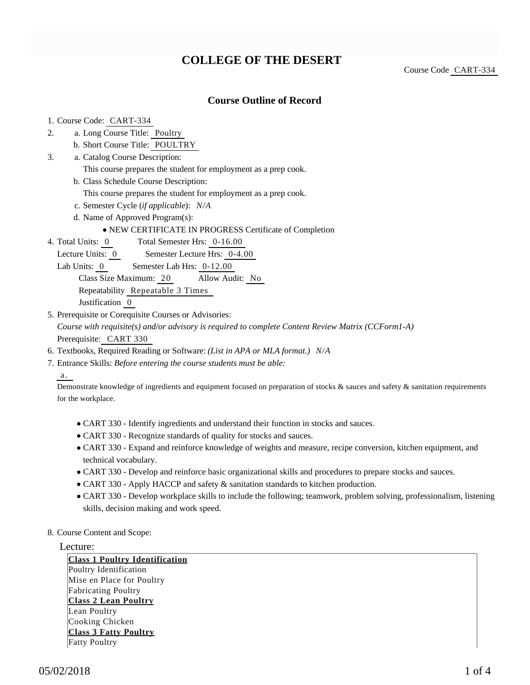# **COLLEGE OF THE DESERT**

Course Code CART-334

### **Course Outline of Record**

#### 1. Course Code: CART-334

- a. Long Course Title: Poultry 2.
	- b. Short Course Title: POULTRY
- Catalog Course Description: a. 3.
	- This course prepares the student for employment as a prep cook.
	- b. Class Schedule Course Description:
		- This course prepares the student for employment as a prep cook.
	- c. Semester Cycle (*if applicable*): *N/A*
	- d. Name of Approved Program(s):

#### NEW CERTIFICATE IN PROGRESS Certificate of Completion

- Total Semester Hrs: 0-16.00 4. Total Units: 0
	- Lecture Units: 0 Semester Lecture Hrs: 0-4.00
	- Lab Units: 0 Semester Lab Hrs: 0-12.00

Class Size Maximum: 20 Allow Audit: No

Repeatability Repeatable 3 Times

Justification 0

- 5. Prerequisite or Corequisite Courses or Advisories: *Course with requisite(s) and/or advisory is required to complete Content Review Matrix (CCForm1-A)* Prerequisite: CART 330
- 6. Textbooks, Required Reading or Software: *(List in APA or MLA format.) N/A*
- Entrance Skills: *Before entering the course students must be able:* 7.

a.

Demonstrate knowledge of ingredients and equipment focused on preparation of stocks & sauces and safety & sanitation requirements for the workplace.

- CART 330 Identify ingredients and understand their function in stocks and sauces.
- CART 330 Recognize standards of quality for stocks and sauces.
- CART 330 Expand and reinforce knowledge of weights and measure, recipe conversion, kitchen equipment, and technical vocabulary.
- CART 330 Develop and reinforce basic organizational skills and procedures to prepare stocks and sauces.
- CART 330 Apply HACCP and safety & sanitation standards to kitchen production.
- CART 330 Develop workplace skills to include the following; teamwork, problem solving, professionalism, listening skills, decision making and work speed.
- 8. Course Content and Scope:

#### Lecture:

**Class 1 Poultry Identification** Poultry Identification Mise en Place for Poultry Fabricating Poultry **Class 2 Lean Poultry** Lean Poultry Cooking Chicken **Class 3 Fatty Poultry** Fatty Poultry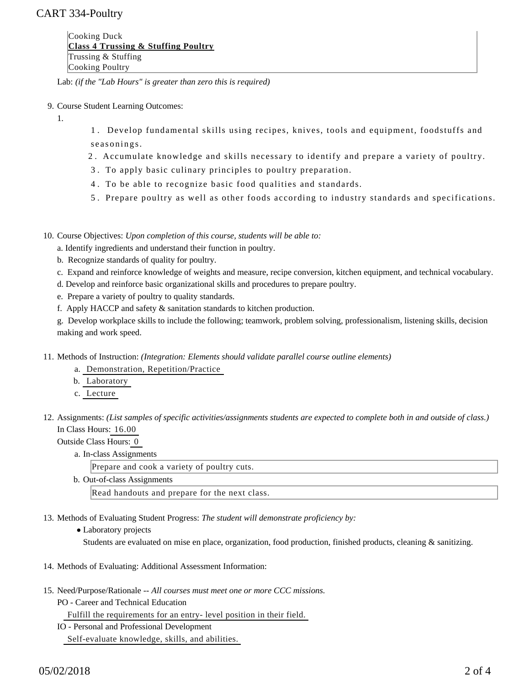## CART 334-Poultry

Cooking Duck **Class 4 Trussing & Stuffing Poultry** Trussing & Stuffing Cooking Poultry

Lab: *(if the "Lab Hours" is greater than zero this is required)*

#### 9. Course Student Learning Outcomes:

1.

1 . Develop fundamental skills using recipes, knives, tools and equipment, foodstuffs and seasonings.

- 2 . Accumulate knowledge and skills necessary to identify and prepare a variety of poultry.
- 3 . To apply basic culinary principles to poultry preparation.
- 4 . To be able to recognize basic food qualities and standards.
- 5 . Prepare poultry as well as other foods according to industry standards and specifications.

10. Course Objectives: Upon completion of this course, students will be able to:

- a. Identify ingredients and understand their function in poultry.
- b. Recognize standards of quality for poultry.
- c. Expand and reinforce knowledge of weights and measure, recipe conversion, kitchen equipment, and technical vocabulary.
- d. Develop and reinforce basic organizational skills and procedures to prepare poultry.
- e. Prepare a variety of poultry to quality standards.
- f. Apply HACCP and safety & sanitation standards to kitchen production.

g. Develop workplace skills to include the following; teamwork, problem solving, professionalism, listening skills, decision making and work speed.

- 11. Methods of Instruction: *(Integration: Elements should validate parallel course outline elements)* 
	- a. Demonstration, Repetition/Practice
	- b. Laboratory
	- c. Lecture
- 12. Assignments: (List samples of specific activities/assignments students are expected to complete both in and outside of class.) In Class Hours: 16.00

Outside Class Hours: 0

a. In-class Assignments

| Prepare and cook a variety of poultry cuts.   |  |  |  |  |
|-----------------------------------------------|--|--|--|--|
| b. Out-of-class Assignments                   |  |  |  |  |
| Read handouts and prepare for the next class. |  |  |  |  |

- 13. Methods of Evaluating Student Progress: The student will demonstrate proficiency by:
	- Laboratory projects

Students are evaluated on mise en place, organization, food production, finished products, cleaning & sanitizing.

- 14. Methods of Evaluating: Additional Assessment Information:
- 15. Need/Purpose/Rationale -- All courses must meet one or more CCC missions.
	- PO Career and Technical Education

Fulfill the requirements for an entry- level position in their field.

IO - Personal and Professional Development Self-evaluate knowledge, skills, and abilities.